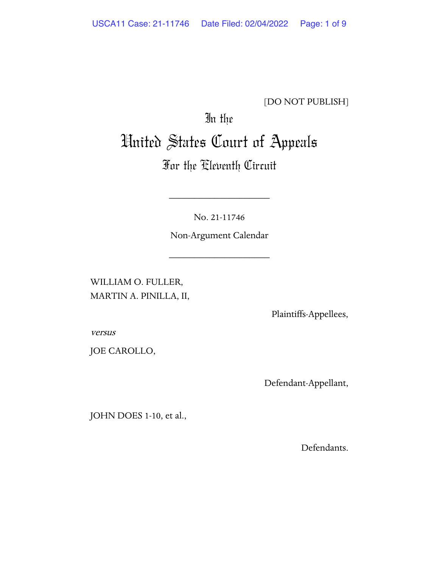### [DO NOT PUBLISH]

# In the United States Court of Appeals

## For the Eleventh Circuit

No. 21-11746

\_\_\_\_\_\_\_\_\_\_\_\_\_\_\_\_\_\_\_\_

Non-Argument Calendar

\_\_\_\_\_\_\_\_\_\_\_\_\_\_\_\_\_\_\_\_

WILLIAM O. FULLER, MARTIN A. PINILLA, II,

Plaintiffs-Appellees,

versus

JOE CAROLLO,

Defendant-Appellant,

JOHN DOES 1-10, et al.,

Defendants.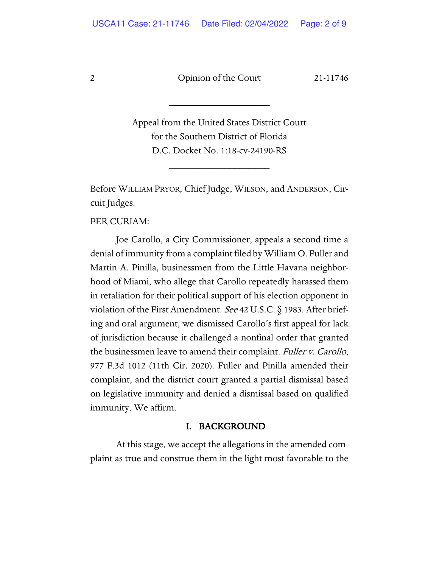\_\_\_\_\_\_\_\_\_\_\_\_\_\_\_\_\_\_\_\_

Appeal from the United States District Court for the Southern District of Florida D.C. Docket No. 1:18-cv-24190-RS

\_\_\_\_\_\_\_\_\_\_\_\_\_\_\_\_\_\_\_\_

Before WILLIAM PRYOR, Chief Judge, WILSON, and ANDERSON, Circuit Judges.

PER CURIAM:

Joe Carollo, a City Commissioner, appeals a second time a denial of immunity from a complaint filed by William O. Fuller and Martin A. Pinilla, businessmen from the Little Havana neighborhood of Miami, who allege that Carollo repeatedly harassed them in retaliation for their political support of his election opponent in violation of the First Amendment. See 42 U.S.C. § 1983. After briefing and oral argument, we dismissed Carollo's first appeal for lack of jurisdiction because it challenged a nonfinal order that granted the businessmen leave to amend their complaint. Fuller v. Carollo, 977 F.3d 1012 (11th Cir. 2020). Fuller and Pinilla amended their complaint, and the district court granted a partial dismissal based on legislative immunity and denied a dismissal based on qualified immunity. We affirm.

#### I. BACKGROUND

At this stage, we accept the allegations in the amended complaint as true and construe them in the light most favorable to the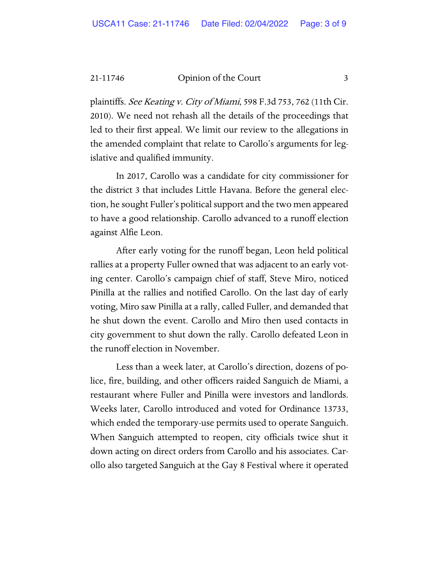plaintiffs. See Keating v. City of Miami, 598 F.3d 753, 762 (11th Cir. 2010). We need not rehash all the details of the proceedings that led to their first appeal. We limit our review to the allegations in the amended complaint that relate to Carollo's arguments for legislative and qualified immunity.

In 2017, Carollo was a candidate for city commissioner for the district 3 that includes Little Havana. Before the general election, he sought Fuller's political support and the two men appeared to have a good relationship. Carollo advanced to a runoff election against Alfie Leon.

After early voting for the runoff began, Leon held political rallies at a property Fuller owned that was adjacent to an early voting center. Carollo's campaign chief of staff, Steve Miro, noticed Pinilla at the rallies and notified Carollo. On the last day of early voting, Miro saw Pinilla at a rally, called Fuller, and demanded that he shut down the event. Carollo and Miro then used contacts in city government to shut down the rally. Carollo defeated Leon in the runoff election in November.

Less than a week later, at Carollo's direction, dozens of police, fire, building, and other officers raided Sanguich de Miami, a restaurant where Fuller and Pinilla were investors and landlords. Weeks later, Carollo introduced and voted for Ordinance 13733, which ended the temporary-use permits used to operate Sanguich. When Sanguich attempted to reopen, city officials twice shut it down acting on direct orders from Carollo and his associates. Carollo also targeted Sanguich at the Gay 8 Festival where it operated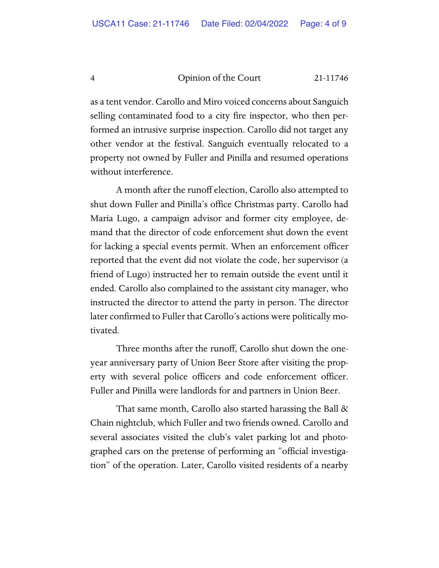as a tent vendor. Carollo and Miro voiced concerns about Sanguich selling contaminated food to a city fire inspector, who then performed an intrusive surprise inspection. Carollo did not target any other vendor at the festival. Sanguich eventually relocated to a property not owned by Fuller and Pinilla and resumed operations without interference.

A month after the runoff election, Carollo also attempted to shut down Fuller and Pinilla's office Christmas party. Carollo had Maria Lugo, a campaign advisor and former city employee, demand that the director of code enforcement shut down the event for lacking a special events permit. When an enforcement officer reported that the event did not violate the code, her supervisor (a friend of Lugo) instructed her to remain outside the event until it ended. Carollo also complained to the assistant city manager, who instructed the director to attend the party in person. The director later confirmed to Fuller that Carollo's actions were politically motivated.

Three months after the runoff, Carollo shut down the oneyear anniversary party of Union Beer Store after visiting the property with several police officers and code enforcement officer. Fuller and Pinilla were landlords for and partners in Union Beer.

That same month, Carollo also started harassing the Ball & Chain nightclub, which Fuller and two friends owned. Carollo and several associates visited the club's valet parking lot and photographed cars on the pretense of performing an "official investigation" of the operation. Later, Carollo visited residents of a nearby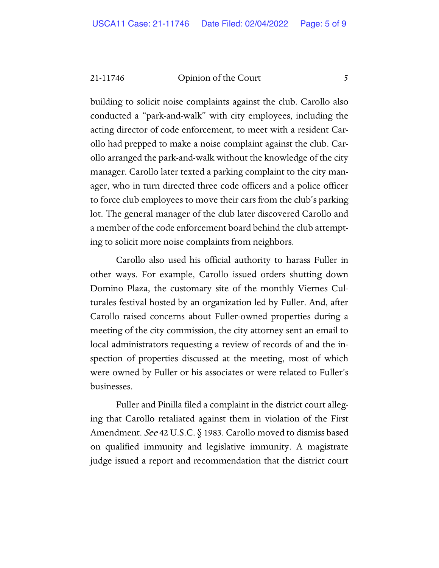building to solicit noise complaints against the club. Carollo also conducted a "park-and-walk" with city employees, including the acting director of code enforcement, to meet with a resident Carollo had prepped to make a noise complaint against the club. Carollo arranged the park-and-walk without the knowledge of the city manager. Carollo later texted a parking complaint to the city manager, who in turn directed three code officers and a police officer to force club employees to move their cars from the club's parking lot. The general manager of the club later discovered Carollo and a member of the code enforcement board behind the club attempting to solicit more noise complaints from neighbors.

Carollo also used his official authority to harass Fuller in other ways. For example, Carollo issued orders shutting down Domino Plaza, the customary site of the monthly Viernes Culturales festival hosted by an organization led by Fuller. And, after Carollo raised concerns about Fuller-owned properties during a meeting of the city commission, the city attorney sent an email to local administrators requesting a review of records of and the inspection of properties discussed at the meeting, most of which were owned by Fuller or his associates or were related to Fuller's businesses.

Fuller and Pinilla filed a complaint in the district court alleging that Carollo retaliated against them in violation of the First Amendment. *See* 42 U.S.C. § 1983. Carollo moved to dismiss based on qualified immunity and legislative immunity. A magistrate judge issued a report and recommendation that the district court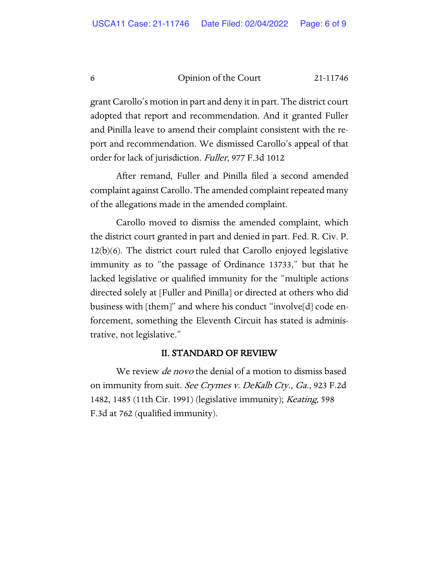grant Carollo's motion in part and deny it in part. The district court adopted that report and recommendation. And it granted Fuller and Pinilla leave to amend their complaint consistent with the report and recommendation. We dismissed Carollo's appeal of that order for lack of jurisdiction. Fuller, 977 F.3d 1012

After remand, Fuller and Pinilla filed a second amended complaint against Carollo. The amended complaint repeated many of the allegations made in the amended complaint.

Carollo moved to dismiss the amended complaint, which the district court granted in part and denied in part. Fed. R. Civ. P. 12(b)(6). The district court ruled that Carollo enjoyed legislative immunity as to "the passage of Ordinance 13733," but that he lacked legislative or qualified immunity for the "multiple actions directed solely at [Fuller and Pinilla] or directed at others who did business with [them]" and where his conduct "involve[d] code enforcement, something the Eleventh Circuit has stated is administrative, not legislative."

#### II. STANDARD OF REVIEW

We review *de novo* the denial of a motion to dismiss based on immunity from suit. *See Crymes v. DeKalb Cty.*, *Ga.*, 923 F.2d 1482, 1485 (11th Cir. 1991) (legislative immunity); Keating, 598 F.3d at 762 (qualified immunity).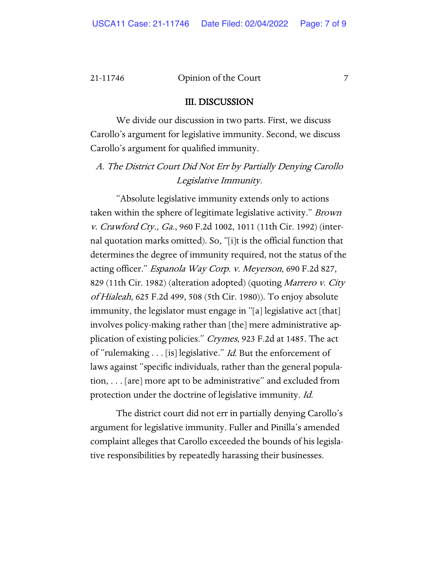#### III. DISCUSSION

We divide our discussion in two parts. First, we discuss Carollo's argument for legislative immunity. Second, we discuss Carollo's argument for qualified immunity.

A. The District Court Did Not Err by Partially Denying Carollo Legislative Immunity.

"Absolute legislative immunity extends only to actions taken within the sphere of legitimate legislative activity." Brown v. Crawford Cty., Ga., 960 F.2d 1002, 1011 (11th Cir. 1992) (internal quotation marks omitted). So, "[i]t is the official function that determines the degree of immunity required, not the status of the acting officer." Espanola Way Corp. v. Meyerson, 690 F.2d 827, 829 (11th Cir. 1982) (alteration adopted) (quoting *Marrero v. City* of Hialeah, 625 F.2d 499, 508 (5th Cir. 1980)). To enjoy absolute immunity, the legislator must engage in "[a] legislative act [that] involves policy-making rather than [the] mere administrative application of existing policies." Crymes, 923 F.2d at 1485. The act of "rulemaking . . . [is] legislative." *Id.* But the enforcement of laws against "specific individuals, rather than the general population, . . . [are] more apt to be administrative" and excluded from protection under the doctrine of legislative immunity. Id.

The district court did not err in partially denying Carollo's argument for legislative immunity. Fuller and Pinilla's amended complaint alleges that Carollo exceeded the bounds of his legislative responsibilities by repeatedly harassing their businesses.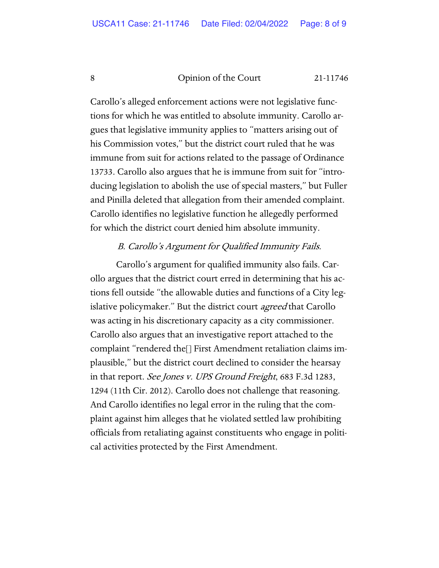Carollo's alleged enforcement actions were not legislative functions for which he was entitled to absolute immunity. Carollo argues that legislative immunity applies to "matters arising out of his Commission votes," but the district court ruled that he was immune from suit for actions related to the passage of Ordinance 13733. Carollo also argues that he is immune from suit for "introducing legislation to abolish the use of special masters," but Fuller and Pinilla deleted that allegation from their amended complaint. Carollo identifies no legislative function he allegedly performed for which the district court denied him absolute immunity.

### B. Carollo's Argument for Qualified Immunity Fails.

Carollo's argument for qualified immunity also fails. Carollo argues that the district court erred in determining that his actions fell outside "the allowable duties and functions of a City legislative policymaker." But the district court *agreed* that Carollo was acting in his discretionary capacity as a city commissioner. Carollo also argues that an investigative report attached to the complaint "rendered the[] First Amendment retaliation claims implausible," but the district court declined to consider the hearsay in that report. See Jones v. UPS Ground Freight, 683 F.3d 1283, 1294 (11th Cir. 2012). Carollo does not challenge that reasoning. And Carollo identifies no legal error in the ruling that the complaint against him alleges that he violated settled law prohibiting officials from retaliating against constituents who engage in political activities protected by the First Amendment.